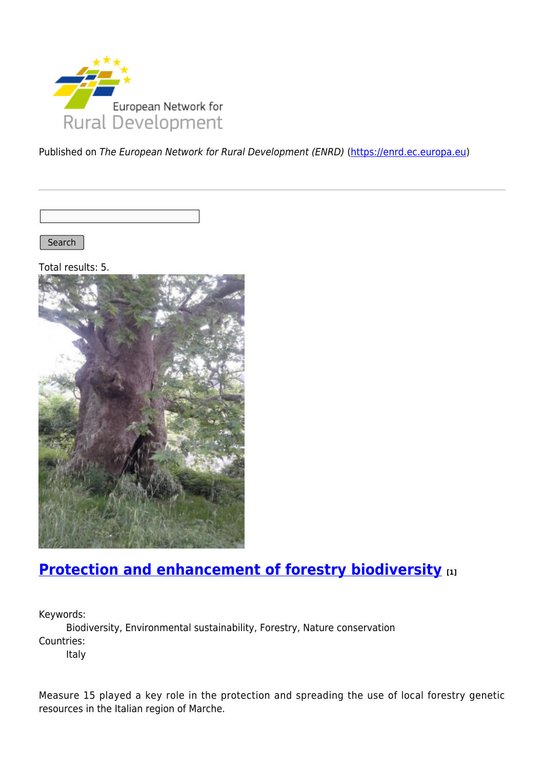

Published on The European Network for Rural Development (ENRD) [\(https://enrd.ec.europa.eu](https://enrd.ec.europa.eu))

Search |

Total results: 5.



## **[Protection and enhancement of forestry biodiversity](https://enrd.ec.europa.eu/projects-practice/protection-and-enhancement-forestry-biodiversity_en) [1]**

Keywords:

Biodiversity, Environmental sustainability, Forestry, Nature conservation Countries:

Italy

Measure 15 played a key role in the protection and spreading the use of local forestry genetic resources in the Italian region of Marche.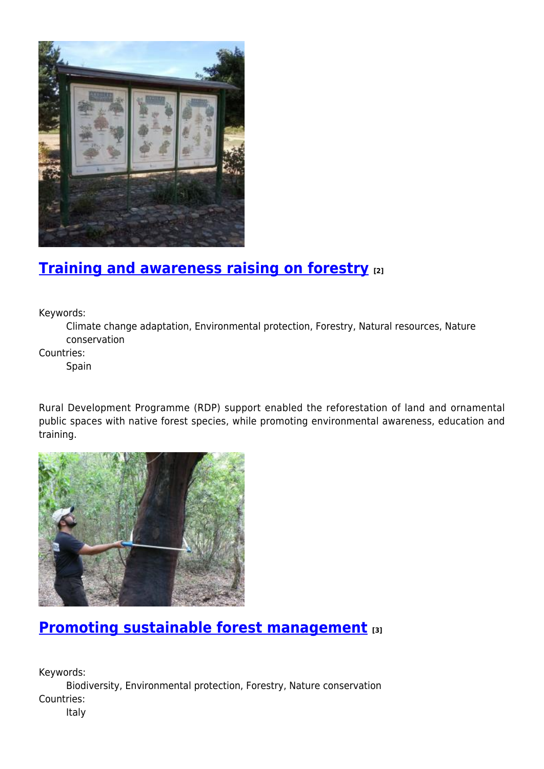

## **[Training and awareness raising on forestry](https://enrd.ec.europa.eu/projects-practice/training-and-awareness-raising-forestry_en) [2]**

Keywords:

Climate change adaptation, Environmental protection, Forestry, Natural resources, Nature conservation

Countries:

Spain

Rural Development Programme (RDP) support enabled the reforestation of land and ornamental public spaces with native forest species, while promoting environmental awareness, education and training.



# **[Promoting sustainable forest management](https://enrd.ec.europa.eu/projects-practice/promoting-sustainable-forest-management_en) [3]**

Keywords: Biodiversity, Environmental protection, Forestry, Nature conservation Countries:

Italy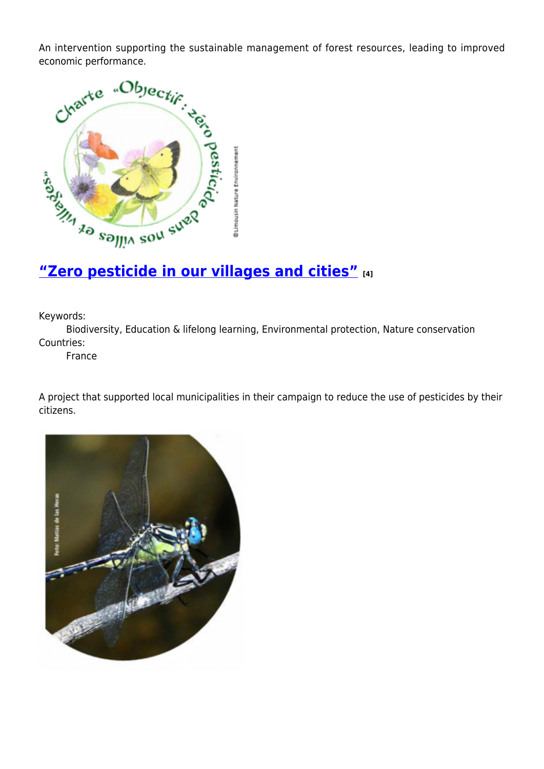economic performance.



Keywords:

Biodiversity, Education & lifelong learning, Environmental protection, Nature conservation Countries:

France

A project that supported local municipalities in their campaign to reduce the use of pesticides by their citizens.